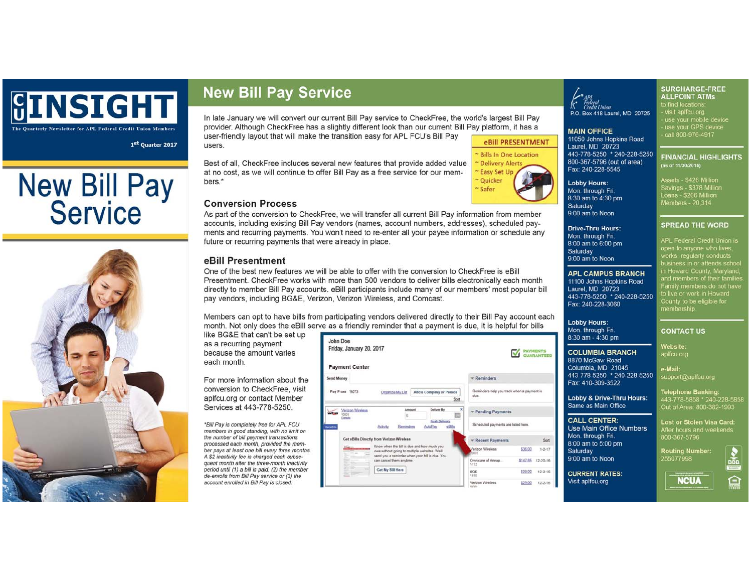

The Quarterly Newsletter for APL Federal Credit Union Members

1st Quarter 2017

# **New Bill Pay<br>Service**



# **New Bill Pay Service**

In late January we will convert our current Bill Pay service to CheckFree, the world's largest Bill Pay provider. Although CheckFree has a slightly different look than our current Bill Pay platform, it has a

user-friendly layout that will make the transition easy for APL FCU's Bill Pay users.

Best of all, CheckFree includes several new features that provide added value at no cost, as we will continue to offer Bill Pay as a free service for our members<sup>\*</sup>



#### **Conversion Process**

As part of the conversion to CheckFree, we will transfer all current Bill Pay information from member accounts, including existing Bill Pay vendors (names, account numbers, addresses), scheduled payments and recurring payments. You won't need to re-enter all your payee information or schedule any future or recurring payments that were already in place.

## eBill Presentment

One of the best new features we will be able to offer with the conversion to CheckFree is eBill Presentment. CheckFree works with more than 500 vendors to deliver bills electronically each month directly to member Bill Pay accounts, eBill participants include many of our members' most popular bill pay vendors, including BG&E, Verizon, Verizon Wireless, and Comcast.

Members can opt to have bills from participating vendors delivered directly to their Bill Pay account each month. Not only does the eBill serve as a friendly reminder that a payment is due, it is helpful for bills

like BG&E that can't be set up as a recurring payment because the amount varies each month.

For more information about the conversion to CheckFree, visit aplfcu.org or contact Member Services at 443-778-5250.

\*Bill Pay is completely free for APL FCU members in good standing, with no limit on the number of bill payment transactions processed each month, provided the member pays at least one bill every three months. A \$2 inactivity fee is charged each subsequent month after the three-month inactivity period until (1) a bill is paid, (2) the member de-enrolls from Bill Pay service or (3) the account enrolled in Bill Pay is closed.



P.O. Box 418 Laurel, MD 20725

#### **MAIN OFFICE**

**Lobby Hours:** 

Saturday 9:00 am to Noon

Saturday 9:00 am to Noon

Mon. through Fri.

8:30 am to 4:30 pm

**Drive-Thru Hours:** 

8:00 am to 6:00 pm

Laurel, MD 20723

Fax: 240-228-3060

**Lobby Hours:** 

Mon. through Fri.

 $8:30$  am -  $4:30$  pm

8870 McGaw Road

Fax: 410-309-3522

Same as Main Office

**CALL CENTER:** 

Mon. through Fri.

9:00 am to Noon

Saturday

8:00 am to 5:00 pm

Columbia, MD 21045

**COLUMBIA BRANCH** 

**Lobby & Drive-Thru Hours:** 

Use Main Office Numbers

**APL CAMPUS BRANCH** 

11100 Johns Hopkins Road

443-778-5250 \* 240-228-5250

Mon through Fri

11050 Johns Hopkins Road Laurel, MD 20723 443-778-5250 \* 240-228-5250 800-367-5796 (out of area) Fax: 240-228-5545

> Assets - \$426 Million Savings - \$378 Million Loans - \$206 Million Members - 20,314

SURCHARGE-FREE

use your mobile device use your GPS device

**FINANCIAL HIGHLIGHTS** 

**ALLPOINT ATMS** to find locations:<br>- visit aplfcu org

call 800-976-4917

(as of 11/30/2016)

#### **SPREAD THE WORD**

For the daryone who lives,<br>works, regularly conducts<br>business in or attends school<br>in Howard County, Maryland,<br>and members of their families amily members do not have to live or work in Howard .......<br>County to be eligible for membership.

#### **CONTACT US**

Website:

a-Mail: 443-778-5250 \* 240-228-5250 support@aplfcu.org

Telephone Banking:<br>443-778-5858 \* 240-228-58<br>Out of Area: 800-382-1993

Lost or Stolen Visa Card: After hours and weekends<br>800-367-5796

**Routing Number:** 255077998

**NCUA** 

**CURRENT RATES:** Visit aplfcu.org